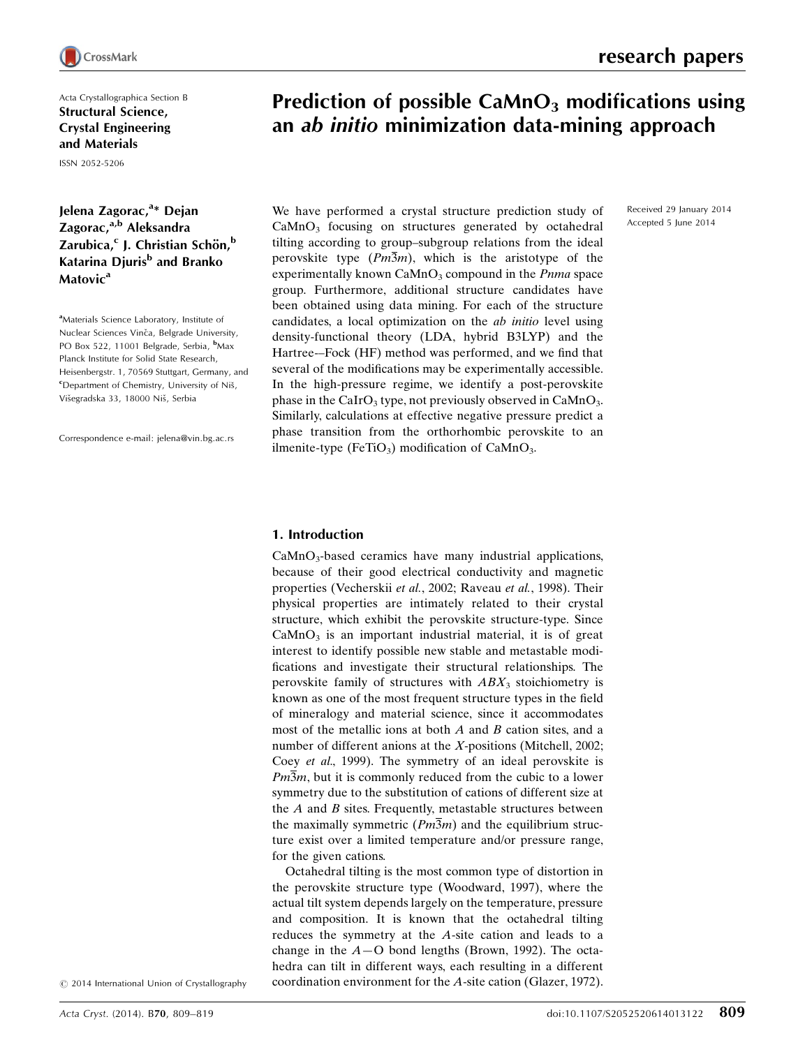Acta Crystallographica Section B Structural Science, Crystal Engineering and Materials

ISSN 2052-5206

# Jelena Zagorac,<sup>a</sup>\* Dejan Zagorac,<sup>a,b</sup> Aleksandra Zarubica,<sup>c</sup> J. Christian Schön,<sup>b</sup> Katarina Djuris<sup>b</sup> and Branko Matovic<sup>a</sup>

<sup>a</sup>Materials Science Laboratory, Institute of Nuclear Sciences Vinča, Belgrade University, PO Box 522, 11001 Belgrade, Serbia, <sup>b</sup>Max Planck Institute for Solid State Research, Heisenbergstr. 1, 70569 Stuttgart, Germany, and <sup>c</sup>Department of Chemistry, University of Niš, Višegradska 33, 18000 Niš, Serbia

Correspondence e-mail: jelena@vin.bg.ac.rs

Received 29 January 2014 Accepted 5 June 2014

# Prediction of possible  $CaMnO<sub>3</sub>$  modifications using an ab initio minimization data-mining approach

We have performed a crystal structure prediction study of  $CaMnO<sub>3</sub>$  focusing on structures generated by octahedral tilting according to group–subgroup relations from the ideal perovskite type  $(Pm\overline{3}m)$ , which is the aristotype of the experimentally known  $\text{CaMnO}_3$  compound in the *Pnma* space group. Furthermore, additional structure candidates have been obtained using data mining. For each of the structure candidates, a local optimization on the ab initio level using density-functional theory (LDA, hybrid B3LYP) and the Hartree-–Fock (HF) method was performed, and we find that several of the modifications may be experimentally accessible. In the high-pressure regime, we identify a post-perovskite phase in the CaIrO<sub>3</sub> type, not previously observed in CaMnO<sub>3</sub>. Similarly, calculations at effective negative pressure predict a phase transition from the orthorhombic perovskite to an ilmenite-type (FeTiO<sub>3</sub>) modification of CaMnO<sub>3</sub>.

## 1. Introduction

 $CaMnO<sub>3</sub>$ -based ceramics have many industrial applications, because of their good electrical conductivity and magnetic properties (Vecherskii et al., 2002; Raveau et al., 1998). Their physical properties are intimately related to their crystal structure, which exhibit the perovskite structure-type. Since  $CaMnO<sub>3</sub>$  is an important industrial material, it is of great interest to identify possible new stable and metastable modifications and investigate their structural relationships. The perovskite family of structures with  $ABX_3$  stoichiometry is known as one of the most frequent structure types in the field of mineralogy and material science, since it accommodates most of the metallic ions at both  $A$  and  $B$  cation sites, and a number of different anions at the X-positions (Mitchell, 2002; Coey et al., 1999). The symmetry of an ideal perovskite is  $Pm\overline{3}m$ , but it is commonly reduced from the cubic to a lower symmetry due to the substitution of cations of different size at the  $A$  and  $B$  sites. Frequently, metastable structures between the maximally symmetric  $(Pm\overline{3}m)$  and the equilibrium structure exist over a limited temperature and/or pressure range, for the given cations.

Octahedral tilting is the most common type of distortion in the perovskite structure type (Woodward, 1997), where the actual tilt system depends largely on the temperature, pressure and composition. It is known that the octahedral tilting reduces the symmetry at the A-site cation and leads to a change in the  $A$ -O bond lengths (Brown, 1992). The octahedra can tilt in different ways, each resulting in a different coordination environment for the A-site cation (Glazer, 1972).

 $\odot$  2014 International Union of Crystallography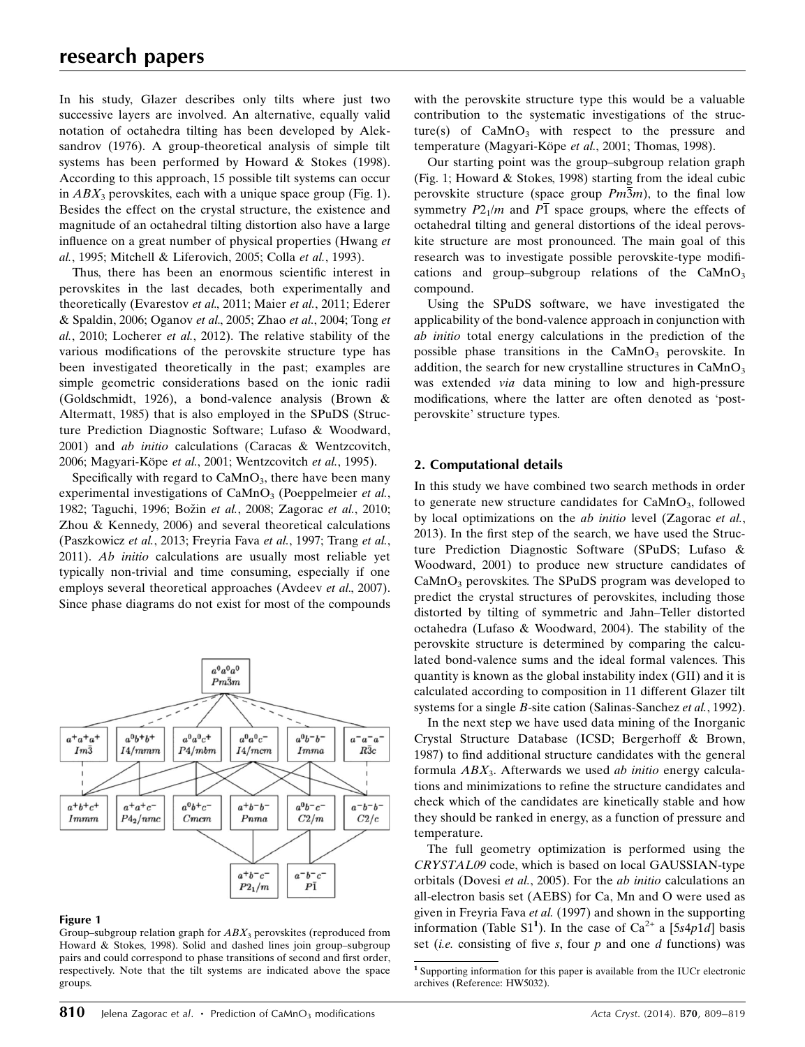In his study, Glazer describes only tilts where just two successive layers are involved. An alternative, equally valid notation of octahedra tilting has been developed by Aleksandrov (1976). A group-theoretical analysis of simple tilt systems has been performed by Howard & Stokes (1998). According to this approach, 15 possible tilt systems can occur in  $ABX_3$  perovskites, each with a unique space group (Fig. 1). Besides the effect on the crystal structure, the existence and magnitude of an octahedral tilting distortion also have a large influence on a great number of physical properties (Hwang et al., 1995; Mitchell & Liferovich, 2005; Colla et al., 1993).

Thus, there has been an enormous scientific interest in perovskites in the last decades, both experimentally and theoretically (Evarestov et al., 2011; Maier et al., 2011; Ederer & Spaldin, 2006; Oganov et al., 2005; Zhao et al., 2004; Tong et al., 2010; Locherer et al., 2012). The relative stability of the various modifications of the perovskite structure type has been investigated theoretically in the past; examples are simple geometric considerations based on the ionic radii (Goldschmidt, 1926), a bond-valence analysis (Brown & Altermatt, 1985) that is also employed in the SPuDS (Structure Prediction Diagnostic Software; Lufaso & Woodward, 2001) and ab initio calculations (Caracas & Wentzcovitch, 2006; Magyari-Köpe et al., 2001; Wentzcovitch et al., 1995).

Specifically with regard to  $CaMnO<sub>3</sub>$ , there have been many experimental investigations of  $CaMnO<sub>3</sub>$  (Poeppelmeier *et al.*, 1982; Taguchi, 1996; Božin et al., 2008; Zagorac et al., 2010; Zhou & Kennedy, 2006) and several theoretical calculations (Paszkowicz et al., 2013; Freyria Fava et al., 1997; Trang et al., 2011). Ab initio calculations are usually most reliable yet typically non-trivial and time consuming, especially if one employs several theoretical approaches (Avdeev *et al.*, 2007). Since phase diagrams do not exist for most of the compounds



#### Figure 1

Group–subgroup relation graph for  $ABX_3$  perovskites (reproduced from Howard & Stokes, 1998). Solid and dashed lines join group–subgroup pairs and could correspond to phase transitions of second and first order, respectively. Note that the tilt systems are indicated above the space groups.

with the perovskite structure type this would be a valuable contribution to the systematic investigations of the structure(s) of  $CaMnO<sub>3</sub>$  with respect to the pressure and temperature (Magyari-Köpe et al., 2001; Thomas, 1998).

Our starting point was the group–subgroup relation graph (Fig. 1; Howard & Stokes, 1998) starting from the ideal cubic perovskite structure (space group  $Pm\overline{3}m$ ), to the final low symmetry  $P2_1/m$  and  $P\overline{1}$  space groups, where the effects of octahedral tilting and general distortions of the ideal perovskite structure are most pronounced. The main goal of this research was to investigate possible perovskite-type modifications and group–subgroup relations of the  $CaMnO<sub>3</sub>$ compound.

Using the SPuDS software, we have investigated the applicability of the bond-valence approach in conjunction with ab initio total energy calculations in the prediction of the possible phase transitions in the  $CaMnO<sub>3</sub>$  perovskite. In addition, the search for new crystalline structures in  $CaMnO<sub>3</sub>$ was extended *via* data mining to low and high-pressure modifications, where the latter are often denoted as 'postperovskite' structure types.

#### 2. Computational details

In this study we have combined two search methods in order to generate new structure candidates for  $CaMnO<sub>3</sub>$ , followed by local optimizations on the ab initio level (Zagorac et al., 2013). In the first step of the search, we have used the Structure Prediction Diagnostic Software (SPuDS; Lufaso & Woodward, 2001) to produce new structure candidates of  $CaMnO<sub>3</sub>$  perovskites. The SPuDS program was developed to predict the crystal structures of perovskites, including those distorted by tilting of symmetric and Jahn–Teller distorted octahedra (Lufaso & Woodward, 2004). The stability of the perovskite structure is determined by comparing the calculated bond-valence sums and the ideal formal valences. This quantity is known as the global instability index (GII) and it is calculated according to composition in 11 different Glazer tilt systems for a single B-site cation (Salinas-Sanchez et al., 1992).

In the next step we have used data mining of the Inorganic Crystal Structure Database (ICSD; Bergerhoff & Brown, 1987) to find additional structure candidates with the general formula  $ABX_3$ . Afterwards we used *ab initio* energy calculations and minimizations to refine the structure candidates and check which of the candidates are kinetically stable and how they should be ranked in energy, as a function of pressure and temperature.

The full geometry optimization is performed using the CRYSTAL09 code, which is based on local GAUSSIAN-type orbitals (Dovesi et al., 2005). For the ab initio calculations an all-electron basis set (AEBS) for Ca, Mn and O were used as given in Freyria Fava et al. (1997) and shown in the supporting information (Table S1<sup>1</sup>). In the case of  $Ca^{2+}$  a [5s4p1d] basis set (*i.e.* consisting of five s, four  $p$  and one  $d$  functions) was

<sup>1</sup> Supporting information for this paper is available from the IUCr electronic archives (Reference: HW5032).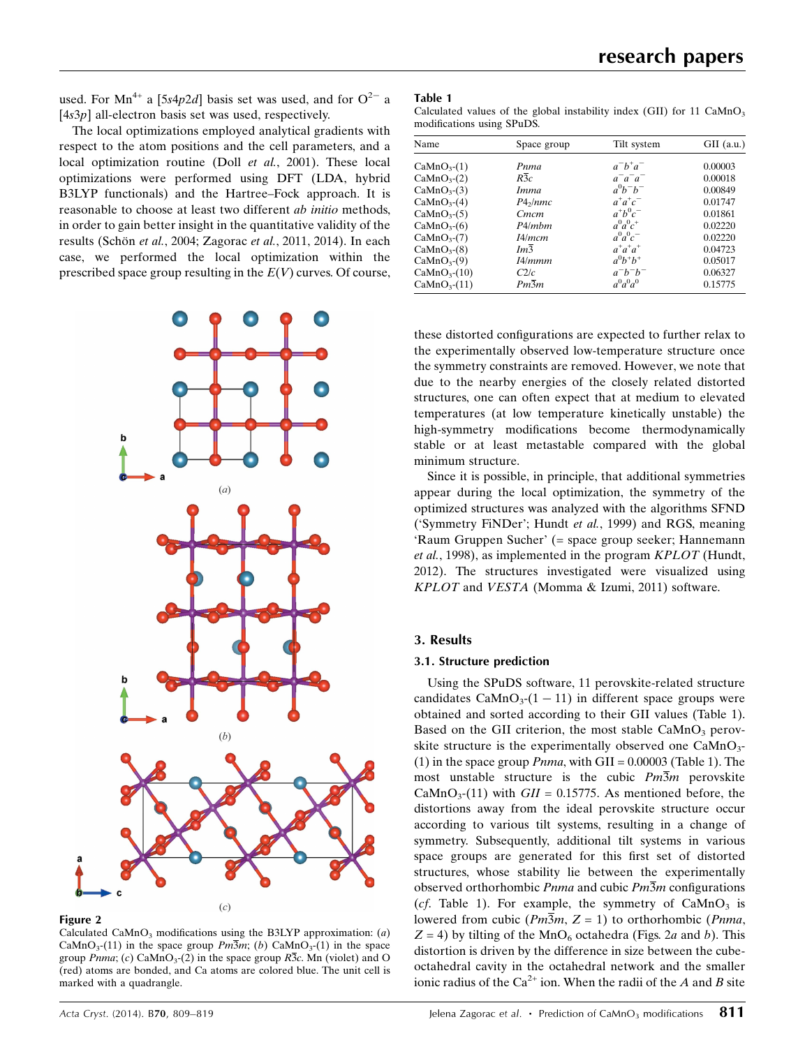used. For Mn<sup>4+</sup> a [5s4p2d] basis set was used, and for  $O^{2-}$  a  $[4s3p]$  all-electron basis set was used, respectively.

The local optimizations employed analytical gradients with respect to the atom positions and the cell parameters, and a local optimization routine (Doll et al., 2001). These local optimizations were performed using DFT (LDA, hybrid B3LYP functionals) and the Hartree–Fock approach. It is reasonable to choose at least two different ab initio methods, in order to gain better insight in the quantitative validity of the results (Schön et al., 2004; Zagorac et al., 2011, 2014). In each case, we performed the local optimization within the prescribed space group resulting in the  $E(V)$  curves. Of course,





Calculated CaMnO<sub>3</sub> modifications using the B3LYP approximation:  $(a)$ CaMnO<sub>3</sub>-(11) in the space group  $Pm\overline{3}m$ ; (b) CaMnO<sub>3</sub>-(1) in the space group *Pnma*; (c) CaMnO<sub>3</sub>-(2) in the space group  $R\overline{3}c$ . Mn (violet) and O (red) atoms are bonded, and Ca atoms are colored blue. The unit cell is marked with a quadrangle.

| Calculated values of the global instability index (GII) for 11 $CaMnO3$ |  |  |  |  |
|-------------------------------------------------------------------------|--|--|--|--|
| modifications using SPuDS.                                              |  |  |  |  |

| Name                    | Space group       | Tilt system | $GII$ (a.u.) |
|-------------------------|-------------------|-------------|--------------|
| CaMnO <sub>3</sub> (1)  | Pnma              | $a^-b^+a^-$ | 0.00003      |
| CaMnO <sub>3</sub> (2)  | $R\overline{3}c$  | $a^-a^-a^-$ | 0.00018      |
| CaMnO <sub>3</sub> (3)  | <i>Imma</i>       | $a^0b^-b^-$ | 0.00849      |
| CaMnO <sub>3</sub> (4)  | $P4\gamma/mmc$    | $a^+a^+c^-$ | 0.01747      |
| CaMnO <sub>3</sub> (5)  | Cmcm              | $a^+b^0c^-$ | 0.01861      |
| CaMnO <sub>3</sub> (6)  | P4/mbm            | $a^0a^0c^+$ | 0.02220      |
| CaMnO <sub>3</sub> (7)  | I4/mcm            | $a^0a^0c^-$ | 0.02220      |
| CaMnO <sub>3</sub> (8)  | Im3               | $a^+a^+a^+$ | 0.04723      |
| CaMnO <sub>3</sub> (9)  | I4/mmm            | $a^0b^+b^+$ | 0.05017      |
| CaMnO <sub>3</sub> (10) | C2/c              | $a^-b^-b^-$ | 0.06327      |
| CaMnO <sub>3</sub> (11) | $Pm\overline{3}m$ | $a^0a^0a^0$ | 0.15775      |

these distorted configurations are expected to further relax to the experimentally observed low-temperature structure once the symmetry constraints are removed. However, we note that due to the nearby energies of the closely related distorted structures, one can often expect that at medium to elevated temperatures (at low temperature kinetically unstable) the high-symmetry modifications become thermodynamically stable or at least metastable compared with the global minimum structure.

Since it is possible, in principle, that additional symmetries appear during the local optimization, the symmetry of the optimized structures was analyzed with the algorithms SFND ('Symmetry FiNDer'; Hundt et al., 1999) and RGS, meaning 'Raum Gruppen Sucher' (= space group seeker; Hannemann et al., 1998), as implemented in the program KPLOT (Hundt, 2012). The structures investigated were visualized using KPLOT and VESTA (Momma & Izumi, 2011) software.

## 3. Results

#### 3.1. Structure prediction

Using the SPuDS software, 11 perovskite-related structure candidates  $CaMnO<sub>3</sub>(1 - 11)$  in different space groups were obtained and sorted according to their GII values (Table 1). Based on the GII criterion, the most stable  $CaMnO<sub>3</sub>$  perovskite structure is the experimentally observed one  $CaMnO<sub>3</sub>$ -(1) in the space group  $Pnma$ , with GII = 0.00003 (Table 1). The most unstable structure is the cubic  $Pm\overline{3}m$  perovskite CaMnO<sub>3</sub>-(11) with  $GII = 0.15775$ . As mentioned before, the distortions away from the ideal perovskite structure occur according to various tilt systems, resulting in a change of symmetry. Subsequently, additional tilt systems in various space groups are generated for this first set of distorted structures, whose stability lie between the experimentally observed orthorhombic *Pnma* and cubic  $Pm\overline{3}m$  configurations (cf. Table 1). For example, the symmetry of  $CaMnO<sub>3</sub>$  is lowered from cubic ( $Pm\overline{3}m$ ,  $Z = 1$ ) to orthorhombic ( $Pnma$ ,  $Z = 4$ ) by tilting of the MnO<sub>6</sub> octahedra (Figs. 2*a* and *b*). This distortion is driven by the difference in size between the cubeoctahedral cavity in the octahedral network and the smaller ionic radius of the  $Ca^{2+}$  ion. When the radii of the A and B site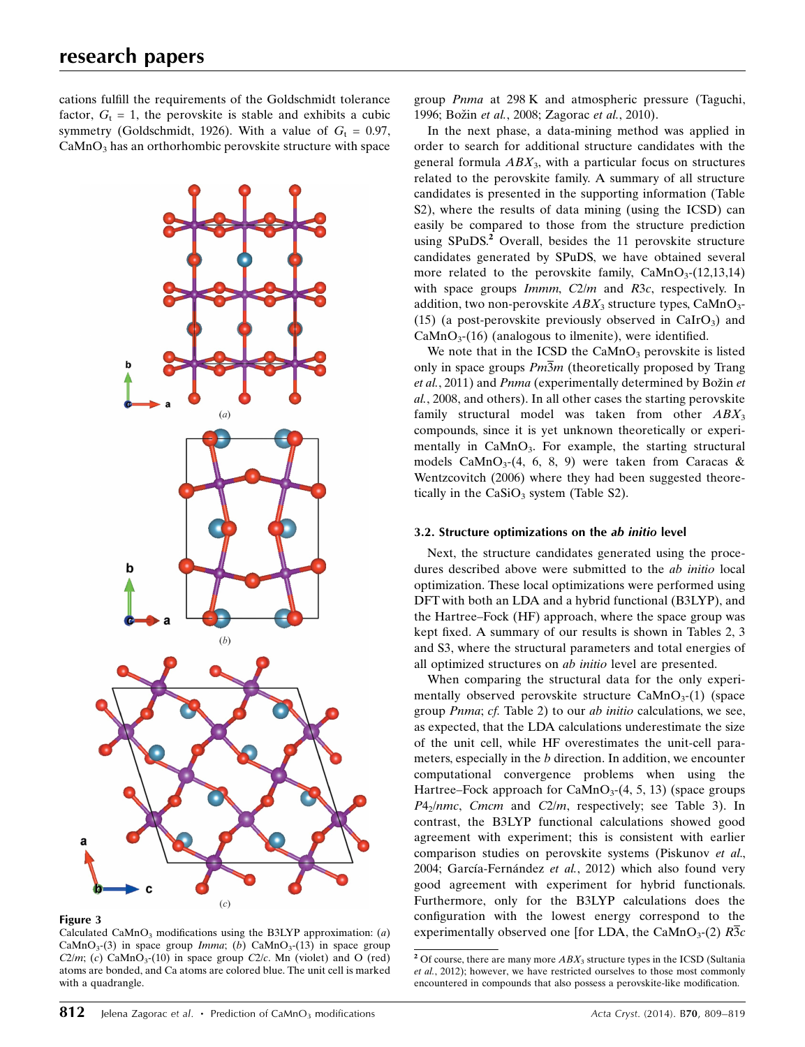cations fulfill the requirements of the Goldschmidt tolerance factor,  $G_t = 1$ , the perovskite is stable and exhibits a cubic symmetry (Goldschmidt, 1926). With a value of  $G_t = 0.97$ ,  $CaMnO<sub>3</sub>$  has an orthorhombic perovskite structure with space



Figure 3

Calculated CaMnO<sub>3</sub> modifications using the B3LYP approximation:  $(a)$ CaMnO<sub>3</sub>-(3) in space group *Imma*; (b) CaMnO<sub>3</sub>-(13) in space group  $C2/m$ ; (c) CaMnO<sub>3</sub>-(10) in space group C2/c. Mn (violet) and O (red) atoms are bonded, and Ca atoms are colored blue. The unit cell is marked with a quadrangle.

group Pnma at 298 K and atmospheric pressure (Taguchi, 1996; Božin et al., 2008; Zagorac et al., 2010).

In the next phase, a data-mining method was applied in order to search for additional structure candidates with the general formula  $ABX_3$ , with a particular focus on structures related to the perovskite family. A summary of all structure candidates is presented in the supporting information (Table S2), where the results of data mining (using the ICSD) can easily be compared to those from the structure prediction using SPuDS.<sup>2</sup> Overall, besides the 11 perovskite structure candidates generated by SPuDS, we have obtained several more related to the perovskite family,  $CaMnO<sub>3</sub>(12,13,14)$ with space groups *Immm*, C2/m and R3c, respectively. In addition, two non-perovskite  $ABX_3$  structure types, CaMnO<sub>3</sub>-(15) (a post-perovskite previously observed in  $CaIrO<sub>3</sub>$ ) and  $CaMnO<sub>3</sub>(16)$  (analogous to ilmenite), were identified.

We note that in the ICSD the  $CaMnO<sub>3</sub>$  perovskite is listed only in space groups  $Pm\overline{3}m$  (theoretically proposed by Trang et al., 2011) and *Pnma* (experimentally determined by Božin et al., 2008, and others). In all other cases the starting perovskite family structural model was taken from other  $ABX_3$ compounds, since it is yet unknown theoretically or experimentally in  $CaMnO<sub>3</sub>$ . For example, the starting structural models CaMnO<sub>3</sub>-(4, 6, 8, 9) were taken from Caracas & Wentzcovitch (2006) where they had been suggested theoretically in the  $CaSiO<sub>3</sub>$  system (Table S2).

#### 3.2. Structure optimizations on the ab initio level

Next, the structure candidates generated using the procedures described above were submitted to the ab initio local optimization. These local optimizations were performed using DFT with both an LDA and a hybrid functional (B3LYP), and the Hartree–Fock (HF) approach, where the space group was kept fixed. A summary of our results is shown in Tables 2, 3 and S3, where the structural parameters and total energies of all optimized structures on ab initio level are presented.

When comparing the structural data for the only experimentally observed perovskite structure  $CaMnO<sub>3</sub>(1)$  (space group Pnma; cf. Table 2) to our ab initio calculations, we see, as expected, that the LDA calculations underestimate the size of the unit cell, while HF overestimates the unit-cell parameters, especially in the b direction. In addition, we encounter computational convergence problems when using the Hartree–Fock approach for  $CaMnO<sub>3</sub>(4, 5, 13)$  (space groups  $P4<sub>2</sub>/nmc$ , Cmcm and C2/m, respectively; see Table 3). In contrast, the B3LYP functional calculations showed good agreement with experiment; this is consistent with earlier comparison studies on perovskite systems (Piskunov et al., 2004; García-Fernández et al., 2012) which also found very good agreement with experiment for hybrid functionals. Furthermore, only for the B3LYP calculations does the configuration with the lowest energy correspond to the experimentally observed one [for LDA, the CaMnO<sub>3</sub>-(2)  $R\overline{3}c$ 

<sup>&</sup>lt;sup>2</sup> Of course, there are many more  $ABX_3$  structure types in the ICSD (Sultania et al., 2012); however, we have restricted ourselves to those most commonly encountered in compounds that also possess a perovskite-like modification.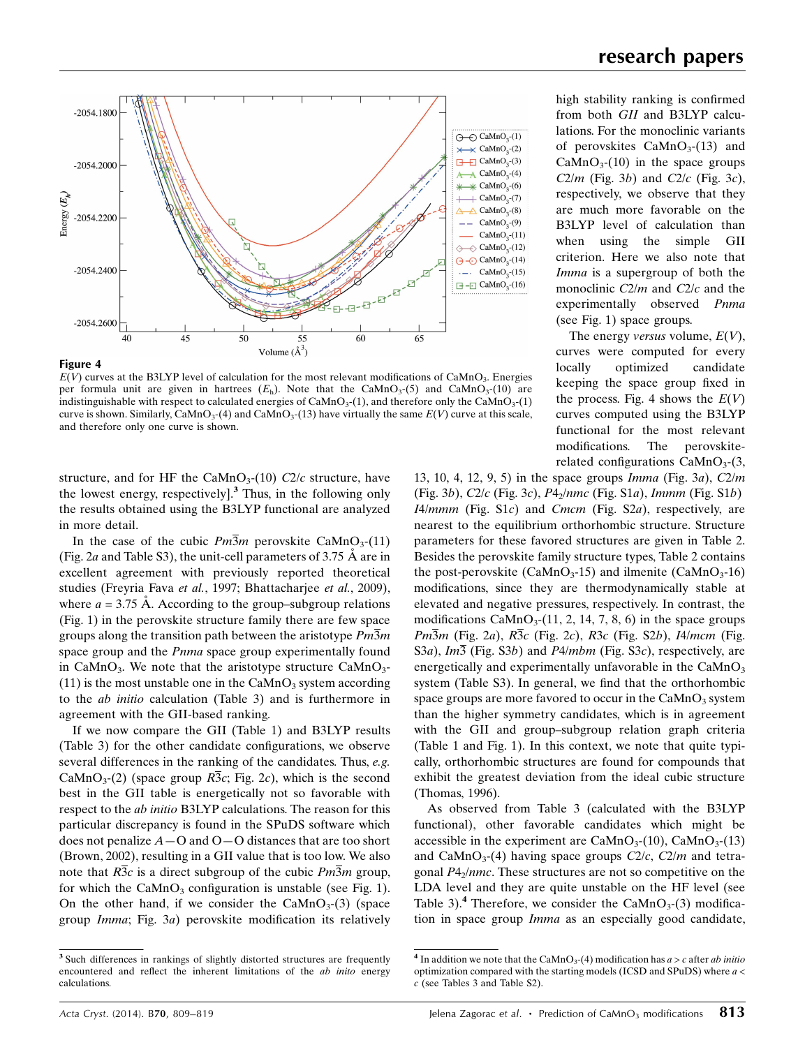

#### Figure 4

 $E(V)$  curves at the B3LYP level of calculation for the most relevant modifications of CaMnO<sub>3</sub>. Energies per formula unit are given in hartrees  $(E_h)$ . Note that the CaMnO<sub>3</sub>-(5) and CaMnO<sub>3</sub>-(10) are indistinguishable with respect to calculated energies of  $CaMnO<sub>3</sub>(1)$ , and therefore only the  $CaMnO<sub>3</sub>(1)$ curve is shown. Similarly, CaMnO<sub>3</sub>-(4) and CaMnO<sub>3</sub>-(13) have virtually the same  $E(V)$  curve at this scale, and therefore only one curve is shown.

structure, and for HF the CaMnO<sub>3</sub>-(10) C2/c structure, have the lowest energy, respectively $]$ <sup>3</sup>. Thus, in the following only the results obtained using the B3LYP functional are analyzed in more detail.

In the case of the cubic  $Pm\overline{3}m$  perovskite CaMnO<sub>3</sub>-(11) (Fig. 2a and Table S3), the unit-cell parameters of 3.75  $\AA$  are in excellent agreement with previously reported theoretical studies (Freyria Fava et al., 1997; Bhattacharjee et al., 2009), where  $a = 3.75$  Å. According to the group–subgroup relations (Fig. 1) in the perovskite structure family there are few space groups along the transition path between the aristotype  $Pm\overline{3}m$ space group and the *Pnma* space group experimentally found in CaMnO<sub>3</sub>. We note that the aristotype structure CaMnO<sub>3</sub>-(11) is the most unstable one in the  $CaMnO<sub>3</sub>$  system according to the ab initio calculation (Table 3) and is furthermore in agreement with the GII-based ranking.

If we now compare the GII (Table 1) and B3LYP results (Table 3) for the other candidate configurations, we observe several differences in the ranking of the candidates. Thus, e.g. CaMnO<sub>3</sub>-(2) (space group  $R\overline{3}c$ ; Fig. 2c), which is the second best in the GII table is energetically not so favorable with respect to the ab initio B3LYP calculations. The reason for this particular discrepancy is found in the SPuDS software which does not penalize  $A - O$  and  $O - O$  distances that are too short (Brown, 2002), resulting in a GII value that is too low. We also note that  $R\overline{3}c$  is a direct subgroup of the cubic  $Pm\overline{3}m$  group, for which the  $CaMnO<sub>3</sub>$  configuration is unstable (see Fig. 1). On the other hand, if we consider the CaMnO<sub>3</sub>-(3) (space group Imma; Fig. 3a) perovskite modification its relatively high stability ranking is confirmed from both GII and B3LYP calculations. For the monoclinic variants of perovskites  $CaMnO<sub>3</sub>(13)$  and  $CaMnO<sub>3</sub>(10)$  in the space groups  $C2/m$  (Fig. 3b) and  $C2/c$  (Fig. 3c), respectively, we observe that they are much more favorable on the B3LYP level of calculation than when using the simple GII criterion. Here we also note that Imma is a supergroup of both the monoclinic C2/m and C2/c and the experimentally observed Pnma (see Fig. 1) space groups.

The energy versus volume,  $E(V)$ , curves were computed for every locally optimized candidate keeping the space group fixed in the process. Fig. 4 shows the  $E(V)$ curves computed using the B3LYP functional for the most relevant modifications. The perovskiterelated configurations  $CaMnO<sub>3</sub>-(3,$ 

13, 10, 4, 12, 9, 5) in the space groups Imma (Fig. 3a), C2/m (Fig. 3b),  $C2/c$  (Fig. 3c),  $P4<sub>2</sub>/nmc$  (Fig. S1a), Immm (Fig. S1b)  $I4/mmm$  (Fig. S1c) and Cmcm (Fig. S2a), respectively, are nearest to the equilibrium orthorhombic structure. Structure parameters for these favored structures are given in Table 2. Besides the perovskite family structure types, Table 2 contains the post-perovskite (CaMnO<sub>3</sub>-15) and ilmenite (CaMnO<sub>3</sub>-16) modifications, since they are thermodynamically stable at elevated and negative pressures, respectively. In contrast, the modifications  $\text{CaMnO}_3$ -(11, 2, 14, 7, 8, 6) in the space groups  $Pm\overline{3}m$  (Fig. 2a),  $R\overline{3}c$  (Fig. 2c),  $R3c$  (Fig. S2b), I4/mcm (Fig. S3a),  $Im\overline{3}$  (Fig. S3b) and P4/mbm (Fig. S3c), respectively, are energetically and experimentally unfavorable in the  $CaMnO<sub>3</sub>$ system (Table S3). In general, we find that the orthorhombic space groups are more favored to occur in the  $CaMnO<sub>3</sub>$  system than the higher symmetry candidates, which is in agreement with the GII and group–subgroup relation graph criteria (Table 1 and Fig. 1). In this context, we note that quite typically, orthorhombic structures are found for compounds that exhibit the greatest deviation from the ideal cubic structure (Thomas, 1996).

As observed from Table 3 (calculated with the B3LYP functional), other favorable candidates which might be accessible in the experiment are  $CaMnO<sub>3</sub>(10)$ ,  $CaMnO<sub>3</sub>(13)$ and CaMnO<sub>3</sub>-(4) having space groups  $C2/c$ ,  $C2/m$  and tetragonal  $P4<sub>2</sub>/nmc$ . These structures are not so competitive on the LDA level and they are quite unstable on the HF level (see Table 3).<sup>4</sup> Therefore, we consider the CaMnO<sub>3</sub>-(3) modification in space group Imma as an especially good candidate,

<sup>&</sup>lt;sup>3</sup> Such differences in rankings of slightly distorted structures are frequently encountered and reflect the inherent limitations of the ab inito energy calculations.

<sup>&</sup>lt;sup>4</sup> In addition we note that the CaMnO<sub>3</sub>-(4) modification has  $a > c$  after ab initio optimization compared with the starting models (ICSD and SPuDS) where a < c (see Tables 3 and Table S2).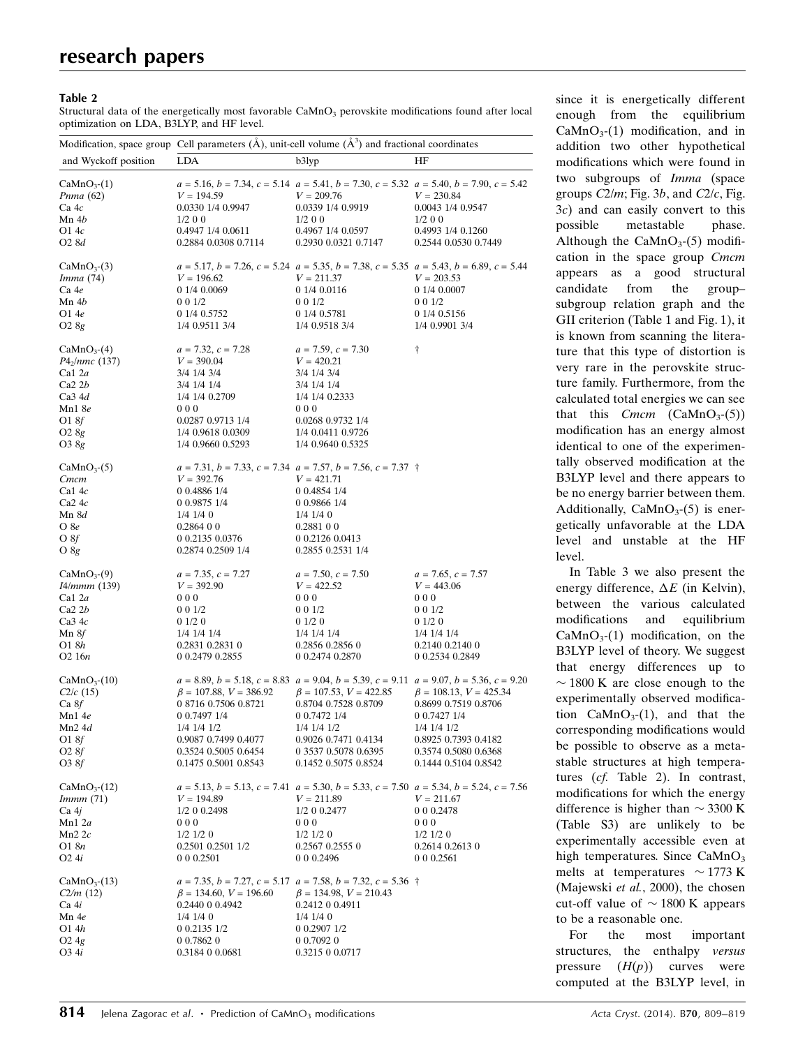#### Table 2

Structural data of the energetically most favorable  $CaMnO<sub>3</sub>$  perovskite modifications found after local optimization on LDA, B3LYP, and HF level.

|                        | Modification, space group Cell parameters $(A)$ , unit-cell volume $(A^3)$ and fractional coordinates |                                                                                                                |                              |  |  |
|------------------------|-------------------------------------------------------------------------------------------------------|----------------------------------------------------------------------------------------------------------------|------------------------------|--|--|
| and Wyckoff position   | LDA                                                                                                   | b3lyp                                                                                                          | HF                           |  |  |
| CaMnO <sub>3</sub> (1) |                                                                                                       | $a = 5.16$ , $b = 7.34$ , $c = 5.14$ $a = 5.41$ , $b = 7.30$ , $c = 5.32$ $a = 5.40$ , $b = 7.90$ , $c = 5.42$ |                              |  |  |
| <i>Pnma</i> (62)       | $V = 194.59$                                                                                          | $V = 209.76$                                                                                                   | $V = 230.84$                 |  |  |
| Ca4c                   | 0.0330 1/4 0.9947                                                                                     | 0.0339 1/4 0.9919                                                                                              | 0.0043 1/4 0.9547            |  |  |
| Mn 4b                  | $1/2$ 0 0                                                                                             | $1/2$ 0 0                                                                                                      | $1/2$ 0 0                    |  |  |
| O1 4c                  | 0.4947 1/4 0.0611                                                                                     | 0.4967 1/4 0.0597                                                                                              | 0.4993 1/4 0.1260            |  |  |
| O2 8d                  | 0.2884 0.0308 0.7114                                                                                  | 0.2930 0.0321 0.7147                                                                                           | 0.2544 0.0530 0.7449         |  |  |
| CaMnO <sub>3</sub> (3) |                                                                                                       | $a = 5.17$ , $b = 7.26$ , $c = 5.24$ $a = 5.35$ , $b = 7.38$ , $c = 5.35$ $a = 5.43$ , $b = 6.89$ , $c = 5.44$ |                              |  |  |
| <i>Imma</i> (74)       | $V = 196.62$                                                                                          | $V = 211.37$                                                                                                   | $V = 203.53$                 |  |  |
| Ca 4e                  | 0 1/4 0.0069                                                                                          | 0 1/4 0.0116                                                                                                   | 0 1/4 0.0007                 |  |  |
| Mn 4b                  | 001/2                                                                                                 | 0 0 1/2                                                                                                        | 001/2                        |  |  |
| O1 4e                  | 0 1/4 0.5752                                                                                          | 0 1/4 0.5781                                                                                                   | 0 1/4 0.5156                 |  |  |
| $O2\,8g$               | 1/4 0.9511 3/4                                                                                        | 1/4 0.9518 3/4                                                                                                 | 1/4 0.9901 3/4               |  |  |
| $CaMnO3-(4)$           | $a = 7.32, c = 7.28$                                                                                  | $a = 7.59, c = 7.30$                                                                                           | Ť                            |  |  |
| $P4_2$ /nmc (137)      | $V = 390.04$                                                                                          | $V = 420.21$                                                                                                   |                              |  |  |
| Ca1 2a                 | 3/4 1/4 3/4                                                                                           | 3/4 1/4 3/4                                                                                                    |                              |  |  |
| Ca2 2b                 | 3/4 1/4 1/4                                                                                           | 3/4 1/4 1/4                                                                                                    |                              |  |  |
| Ca34d                  | 1/4 1/4 0.2709                                                                                        | 1/4 1/4 0.2333                                                                                                 |                              |  |  |
| Mn1 8e                 | 000                                                                                                   | 000                                                                                                            |                              |  |  |
| O18f                   | 0.0287 0.9713 1/4                                                                                     | 0.0268 0.9732 1/4                                                                                              |                              |  |  |
| O <sub>2</sub> 8g      | 1/4 0.9618 0.0309                                                                                     | 1/4 0.0411 0.9726                                                                                              |                              |  |  |
| O3 8g                  | 1/4 0.9660 0.5293                                                                                     | 1/4 0.9640 0.5325                                                                                              |                              |  |  |
| $CaMnO3-(5)$           |                                                                                                       | $a = 7.31, b = 7.33, c = 7.34$ $a = 7.57, b = 7.56, c = 7.37$ †                                                |                              |  |  |
| Cmcm                   | $V = 392.76$                                                                                          | $V = 421.71$                                                                                                   |                              |  |  |
| Ca14c                  | 0 0.4886 1/4                                                                                          | 0 0.4854 1/4                                                                                                   |                              |  |  |
| $Ca2$ 4 $c$            | 0 0.9875 1/4                                                                                          | 0 0.9866 1/4                                                                                                   |                              |  |  |
| Mn 8d                  | $1/4$ 1/4 0                                                                                           | $1/4$ 1/4 0                                                                                                    |                              |  |  |
| O 8e                   | 0.286400                                                                                              | 0.288100                                                                                                       |                              |  |  |
| O 8f                   | 0 0.2135 0.0376                                                                                       | 0 0.2126 0.0413                                                                                                |                              |  |  |
| O 8g                   | 0.2874 0.2509 1/4                                                                                     | 0.2855 0.2531 1/4                                                                                              |                              |  |  |
| CaMnO <sub>3</sub> (9) | $a = 7.35, c = 7.27$                                                                                  | $a = 7.50, c = 7.50$                                                                                           | $a = 7.65, c = 7.57$         |  |  |
| I4/mmm (139)           | $V = 392.90$                                                                                          | $V = 422.52$                                                                                                   | $V = 443.06$                 |  |  |
| Ca1 2a                 | 000                                                                                                   | 000                                                                                                            | 000                          |  |  |
| Ca2 2b                 | 0 0 1/2                                                                                               | 0 0 1/2                                                                                                        | 001/2                        |  |  |
| Ca34c                  | 01/20                                                                                                 | 01/20                                                                                                          | 01/20                        |  |  |
| Mn 8f                  | 1/4 1/4 1/4                                                                                           | 1/4 1/4 1/4                                                                                                    | 1/4 1/4 1/4                  |  |  |
| O1 8h                  | 0.2831 0.2831 0                                                                                       | 0.2856 0.2856 0                                                                                                | 0.2140 0.2140 0              |  |  |
| O <sub>2</sub> 16n     | 0 0.2479 0.2855                                                                                       | 0 0.2474 0.2870                                                                                                | 0 0.2534 0.2849              |  |  |
| $CaMnO3-(10)$          |                                                                                                       | $a = 8.89, b = 5.18, c = 8.83$ $a = 9.04, b = 5.39, c = 9.11$ $a = 9.07, b = 5.36, c = 9.20$                   |                              |  |  |
| $C2/c$ (15)            | $\beta = 107.88, V = 386.92$                                                                          | $\beta = 107.53, V = 422.85$                                                                                   | $\beta = 108.13, V = 425.34$ |  |  |
| Ca8f                   | 0 8716 0.7506 0.8721                                                                                  | 0.8704 0.7528 0.8709                                                                                           | 0.8699 0.7519 0.8706         |  |  |
| Mn1 4e                 | 0 0.7497 1/4                                                                                          | 0 0.7472 1/4                                                                                                   | 0 0.7427 1/4                 |  |  |
| $Mn2$ 4d               | 1/4 1/4 1/2                                                                                           | 1/4 1/4 1/2                                                                                                    | 1/4 1/4 1/2                  |  |  |
| O18f                   | 0.9087 0.7499 0.4077                                                                                  | 0.9026 0.7471 0.4134                                                                                           | 0.8925 0.7393 0.4182         |  |  |
| O28f                   | 0.3524 0.5005 0.6454                                                                                  | 0 3537 0.5078 0.6395                                                                                           | 0.3574 0.5080 0.6368         |  |  |
| O3 8f                  | 0.1475 0.5001 0.8543                                                                                  | 0.1452 0.5075 0.8524                                                                                           | 0.1444 0.5104 0.8542         |  |  |
| $CaMnO3-(12)$          |                                                                                                       | $a = 5.13$ , $b = 5.13$ , $c = 7.41$ $a = 5.30$ , $b = 5.33$ , $c = 7.50$ $a = 5.34$ , $b = 5.24$ , $c = 7.56$ |                              |  |  |
| Immm(71)               | $V = 194.89$                                                                                          | $V = 211.89$                                                                                                   | $V = 211.67$                 |  |  |
| Ca 4j                  | 1/2 0 0.2498                                                                                          | 1/2 0 0.2477                                                                                                   | 0 0 0.2478                   |  |  |
| Mn $1 2a$              | 000                                                                                                   | 000                                                                                                            | 000                          |  |  |
| $Mn2$ 2 $c$            | $1/2$ $1/2$ 0                                                                                         | $1/2$ $1/2$ 0                                                                                                  | $1/2$ $1/2$ 0                |  |  |
| O1 8n                  | 0.2501 0.2501 1/2                                                                                     | 0.2567 0.2555 0                                                                                                | 0.2614 0.2613 0              |  |  |
| O <sub>2</sub> 4i      | 0 0 0.2501                                                                                            | 0 0 0 2496                                                                                                     | 0 0 0 2 5 6 1                |  |  |
| $CaMnO3-(13)$          |                                                                                                       | $a = 7.35, b = 7.27, c = 5.17$ $a = 7.58, b = 7.32, c = 5.36$ †                                                |                              |  |  |
| C2/m(12)               | $\beta = 134.60, V = 196.60$                                                                          | $\beta = 134.98, V = 210.43$                                                                                   |                              |  |  |
| Ca 4i                  | 0.2440 0 0.4942                                                                                       | 0.2412 0 0.4911                                                                                                |                              |  |  |
| Mn 4e                  | $1/4$ $1/4$ 0                                                                                         | $1/4$ 1/4 0                                                                                                    |                              |  |  |
| O1 4h                  | 0 0.2135 1/2                                                                                          | 0 0.2907 1/2                                                                                                   |                              |  |  |
| $O2\,4g$               | 0 0.7862 0                                                                                            | 0 0.7092 0                                                                                                     |                              |  |  |
| O3 4i                  | 0.3184 0 0.0681                                                                                       | 0.3215 0 0.0717                                                                                                |                              |  |  |

since it is energetically different enough from the equilibrium  $CaMnO<sub>3</sub>(1)$  modification, and in addition two other hypothetical modifications which were found in two subgroups of Imma (space groups  $C2/m$ ; Fig. 3b, and  $C2/c$ , Fig. 3c) and can easily convert to this possible metastable phase. Although the  $CaMnO<sub>3</sub>(5)$  modification in the space group Cmcm appears as a good structural candidate from the group– subgroup relation graph and the GII criterion (Table 1 and Fig. 1), it is known from scanning the literature that this type of distortion is very rare in the perovskite structure family. Furthermore, from the calculated total energies we can see that this  $Cmcm$  (CaMnO<sub>3</sub>-(5)) modification has an energy almost identical to one of the experimentally observed modification at the B3LYP level and there appears to be no energy barrier between them. Additionally,  $CaMnO<sub>3</sub>(5)$  is energetically unfavorable at the LDA level and unstable at the HF level.

In Table 3 we also present the energy difference,  $\Delta E$  (in Kelvin), between the various calculated modifications and equilibrium  $CaMnO<sub>3</sub>(1)$  modification, on the B3LYP level of theory. We suggest that energy differences up to  $\sim$  1800 K are close enough to the experimentally observed modification  $CaMnO<sub>3</sub>(1)$ , and that the corresponding modifications would be possible to observe as a metastable structures at high temperatures (cf. Table 2). In contrast, modifications for which the energy difference is higher than  $\sim$  3300 K (Table S3) are unlikely to be experimentally accessible even at high temperatures. Since  $CaMnO<sub>3</sub>$ melts at temperatures  $\sim$  1773 K (Majewski et al., 2000), the chosen cut-off value of  $\sim$  1800 K appears to be a reasonable one.

For the most important structures, the enthalpy versus pressure  $(H(p))$  curves were computed at the B3LYP level, in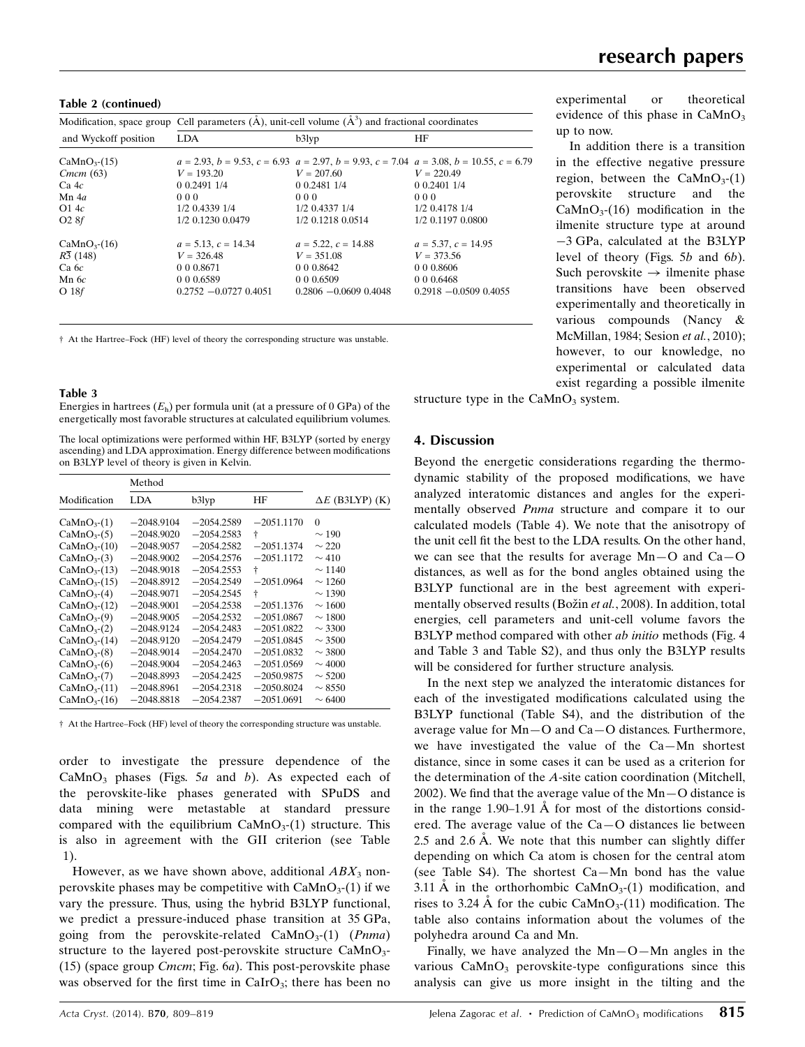Table 2 (continued)

|                                                | Modification, space group Cell parameters $(\mathring{A})$ , unit-cell volume $(\mathring{A}^3)$ and fractional coordinates |                                                                        |                                                                                                                     |  |
|------------------------------------------------|-----------------------------------------------------------------------------------------------------------------------------|------------------------------------------------------------------------|---------------------------------------------------------------------------------------------------------------------|--|
| and Wyckoff position                           | <b>LDA</b>                                                                                                                  | $b3$ lyp                                                               | HF                                                                                                                  |  |
| CaMnO <sub>3</sub> (15)                        |                                                                                                                             |                                                                        | $a = 2.93$ , $b = 9.53$ , $c = 6.93$ , $a = 2.97$ , $b = 9.93$ , $c = 7.04$ , $a = 3.08$ , $b = 10.55$ , $c = 6.79$ |  |
| Cmcm (63)                                      | $V = 193.20$                                                                                                                | $V = 207.60$                                                           | $V = 220.49$                                                                                                        |  |
| $Ca$ 4 $c$                                     | 0 0 2491 1/4                                                                                                                | 0 0.2481 1/4                                                           | 0.0240114                                                                                                           |  |
| $Mn$ 4a                                        | 000                                                                                                                         | 000                                                                    | 000                                                                                                                 |  |
| O14c                                           | 1/2 0.4339 1/4                                                                                                              | 1/2 0.4337 1/4                                                         | 1/2 0.4178 1/4                                                                                                      |  |
| O28f                                           | 1/2 0.1230 0.0479                                                                                                           | 1/2 0.1218 0.0514                                                      | 1/2 0.1197 0.0800                                                                                                   |  |
| $CaMnO3-(16)$<br>R3(148)<br>Ca6c<br>$Mn$ 6 $c$ | $a = 5.13$ , $c = 14.34$<br>$V = 326.48$<br>0 0 0 8 6 7 1<br>0 0 0 6 5 8 9                                                  | $a = 5.22, c = 14.88$<br>$V = 351.08$<br>0 0 0 0 8 6 4 2<br>0 0 0.6509 | $a = 5.37, c = 14.95$<br>$V = 373.56$<br>0 0 0 0 8 6 0 6<br>0 0 0 6 4 6 8                                           |  |
| O <sub>18f</sub>                               | $0.2752 - 0.0727 0.4051$                                                                                                    | $0.2806 - 0.0609 0.4048$                                               | $0.2918 - 0.0509 0.4055$                                                                                            |  |

† At the Hartree–Fock (HF) level of theory the corresponding structure was unstable.

#### Table 3

Energies in hartrees  $(E_h)$  per formula unit (at a pressure of 0 GPa) of the energetically most favorable structures at calculated equilibrium volumes.

The local optimizations were performed within HF, B3LYP (sorted by energy ascending) and LDA approximation. Energy difference between modifications on B3LYP level of theory is given in Kelvin.

|                         | Method       |              |              |                        |
|-------------------------|--------------|--------------|--------------|------------------------|
| Modification            | LDA.         | b3lyp        | ΗF           | $\Delta E$ (B3LYP) (K) |
| CaMnO <sub>3</sub> (1)  | $-2048.9104$ | $-2054.2589$ | $-2051.1170$ | $\Omega$               |
| CaMnO <sub>3</sub> (5)  | $-2048.9020$ | $-2054.2583$ | ŧ            | $\sim$ 190             |
| CaMnO <sub>3</sub> (10) | $-2048.9057$ | $-2054.2582$ | $-2051.1374$ | $\sim$ 220             |
| CaMnO <sub>3</sub> (3)  | $-2048.9002$ | $-2054.2576$ | $-2051.1172$ | $\sim$ 410             |
| CaMnO <sub>3</sub> (13) | $-2048.9018$ | $-2054.2553$ | ŧ            | $\sim$ 1140            |
| CaMnO <sub>3</sub> (15) | $-2048.8912$ | $-2054.2549$ | $-2051.0964$ | $\sim$ 1260            |
| CaMnO <sub>3</sub> (4)  | $-2048.9071$ | $-2054.2545$ | ŧ            | $\sim$ 1390            |
| CaMnO <sub>3</sub> (12) | $-2048.9001$ | $-2054.2538$ | $-2051.1376$ | $\sim$ 1600            |
| CaMnO <sub>3</sub> (9)  | $-2048.9005$ | $-2054.2532$ | $-2051.0867$ | $\sim$ 1800            |
| CaMnO <sub>3</sub> (2)  | $-2048.9124$ | $-2054.2483$ | $-2051.0822$ | $\sim$ 3300            |
| CaMnO <sub>3</sub> (14) | $-2048.9120$ | $-2054.2479$ | $-2051.0845$ | $\sim$ 3500            |
| CaMnO <sub>3</sub> (8)  | $-2048.9014$ | $-2054.2470$ | $-2051.0832$ | $\sim$ 3800            |
| CaMnO <sub>3</sub> (6)  | $-2048.9004$ | $-2054.2463$ | $-2051.0569$ | $\sim$ 4000            |
| CaMnO <sub>3</sub> (7)  | $-2048.8993$ | $-2054.2425$ | $-2050.9875$ | $\sim$ 5200            |
| CaMnO <sub>3</sub> (11) | $-2048.8961$ | $-2054.2318$ | $-2050.8024$ | $\sim$ 8550            |
| $CaMnO3-(16)$           | $-2048.8818$ | $-2054.2387$ | $-2051.0691$ | $\sim 6400$            |

† At the Hartree–Fock (HF) level of theory the corresponding structure was unstable.

order to investigate the pressure dependence of the CaMnO<sub>3</sub> phases (Figs. 5a and b). As expected each of the perovskite-like phases generated with SPuDS and data mining were metastable at standard pressure compared with the equilibrium  $CaMnO<sub>3</sub>(1)$  structure. This is also in agreement with the GII criterion (see Table 1).

However, as we have shown above, additional  $ABX_3$  nonperovskite phases may be competitive with  $CaMnO<sub>3</sub>(1)$  if we vary the pressure. Thus, using the hybrid B3LYP functional, we predict a pressure-induced phase transition at 35 GPa, going from the perovskite-related  $CaMnO<sub>3</sub>(1)$  (*Pnma*) structure to the layered post-perovskite structure  $CaMnO<sub>3</sub>$ -(15) (space group *Cmcm*; Fig.  $6a$ ). This post-perovskite phase was observed for the first time in  $CaIrO<sub>3</sub>$ ; there has been no experimental or theoretical evidence of this phase in  $CaMnO<sub>3</sub>$ up to now.

In addition there is a transition in the effective negative pressure region, between the  $CaMnO<sub>3</sub>(1)$ perovskite structure and the  $CaMnO<sub>3</sub>(16)$  modification in the ilmenite structure type at around 3 GPa, calculated at the B3LYP level of theory (Figs. 5b and 6b). Such perovskite  $\rightarrow$  ilmenite phase transitions have been observed experimentally and theoretically in various compounds (Nancy & McMillan, 1984; Sesion et al., 2010); however, to our knowledge, no experimental or calculated data exist regarding a possible ilmenite

structure type in the  $CaMnO<sub>3</sub>$  system.

## 4. Discussion

Beyond the energetic considerations regarding the thermodynamic stability of the proposed modifications, we have analyzed interatomic distances and angles for the experimentally observed *Pnma* structure and compare it to our calculated models (Table 4). We note that the anisotropy of the unit cell fit the best to the LDA results. On the other hand, we can see that the results for average Mn—O and Ca—O distances, as well as for the bond angles obtained using the B3LYP functional are in the best agreement with experimentally observed results (Božin et al., 2008). In addition, total energies, cell parameters and unit-cell volume favors the B3LYP method compared with other ab initio methods (Fig. 4 and Table 3 and Table S2), and thus only the B3LYP results will be considered for further structure analysis.

In the next step we analyzed the interatomic distances for each of the investigated modifications calculated using the B3LYP functional (Table S4), and the distribution of the average value for Mn—O and Ca—O distances. Furthermore, we have investigated the value of the Ca—Mn shortest distance, since in some cases it can be used as a criterion for the determination of the A-site cation coordination (Mitchell, 2002). We find that the average value of the Mn—O distance is in the range  $1.90-1.91$  Å for most of the distortions considered. The average value of the Ca—O distances lie between 2.5 and 2.6  $\AA$ . We note that this number can slightly differ depending on which Ca atom is chosen for the central atom (see Table S4). The shortest Ca—Mn bond has the value 3.11 Å in the orthorhombic CaMnO<sub>3</sub>-(1) modification, and rises to 3.24 Å for the cubic CaMnO<sub>3</sub>-(11) modification. The table also contains information about the volumes of the polyhedra around Ca and Mn.

Finally, we have analyzed the  $Mn-O-Mn$  angles in the various  $CaMnO<sub>3</sub>$  perovskite-type configurations since this analysis can give us more insight in the tilting and the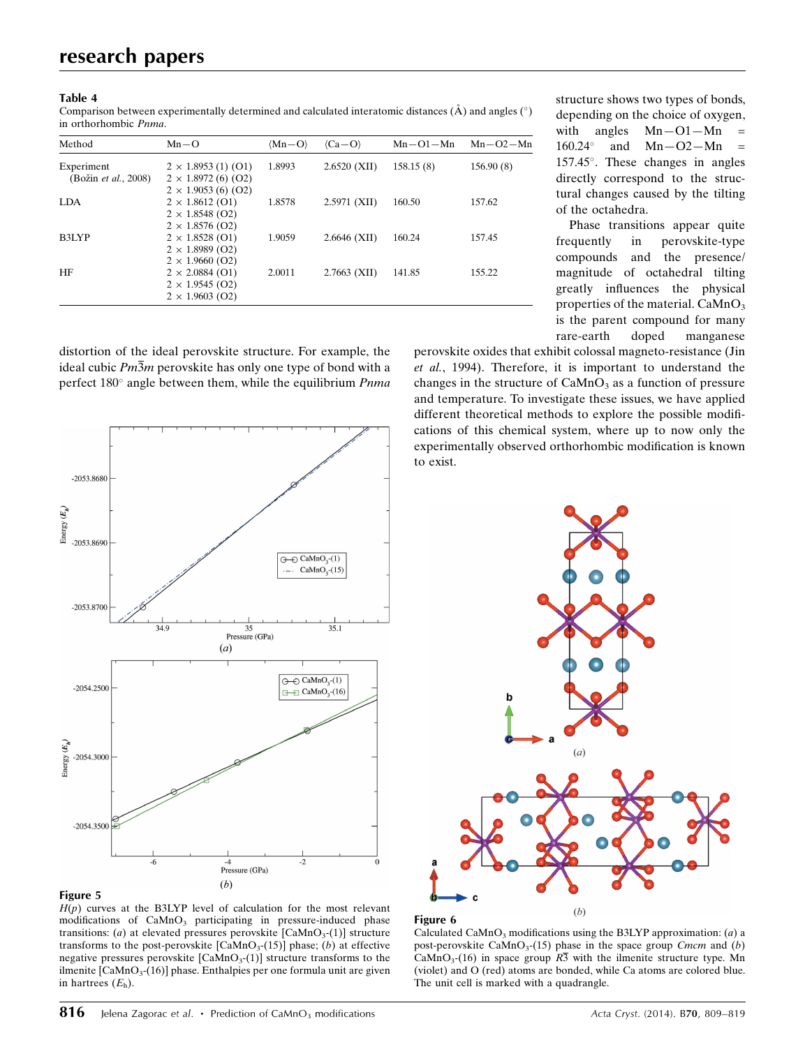#### Table 4

Comparison between experimentally determined and calculated interatomic distances ( $\hat{A}$ ) and angles ( $\hat{ }$ ) in orthorhombic Pnma.

| Method                                     | $Mn-O$                                                                         | $\langle Mn-O \rangle$ | $\langle Ca-O \rangle$ | $Mn-O1-Mn$ | $Mn-O2-Mn$ |
|--------------------------------------------|--------------------------------------------------------------------------------|------------------------|------------------------|------------|------------|
| Experiment<br>(Božin <i>et al.</i> , 2008) | $2 \times 1.8953(1)$ (O1)<br>$2 \times 1.8972$ (6) (O2)                        | 1.8993                 | $2.6520$ (XII)         | 158.15(8)  | 156.90(8)  |
| <b>LDA</b>                                 | $2 \times 1.9053$ (6) (O2)<br>$2 \times 1.8612$ (O1)<br>$2 \times 1.8548$ (O2) | 1.8578                 | $2.5971$ (XII)         | 160.50     | 157.62     |
| B3LYP                                      | $2 \times 1.8576$ (O2)<br>$2 \times 1.8528$ (O1)<br>$2 \times 1.8989$ (O2)     | 1.9059                 | $2.6646$ (XII)         | 160.24     | 157.45     |
| HF                                         | $2 \times 1.9660$ (O2)<br>$2 \times 2.0884$ (O1)                               | 2.0011                 | $2.7663$ (XII)         | 141.85     | 155.22     |
|                                            | $2 \times 1.9545$ (O2)<br>$2 \times 1.9603$ (O2)                               |                        |                        |            |            |

structure shows two types of bonds, depending on the choice of oxygen, with angles  $Mn-O1-Mn =$  $160.24^\circ$  and  $Mn-O2-Mn$ 157.45. These changes in angles directly correspond to the structural changes caused by the tilting of the octahedra.

Phase transitions appear quite frequently in perovskite-type compounds and the presence/ magnitude of octahedral tilting greatly influences the physical properties of the material.  $CaMnO<sub>3</sub>$ is the parent compound for many rare-earth doped manganese

distortion of the ideal perovskite structure. For example, the ideal cubic  $Pm\overline{3}m$  perovskite has only one type of bond with a perfect  $180^\circ$  angle between them, while the equilibrium *Pnma* 



perovskite oxides that exhibit colossal magneto-resistance (Jin et al., 1994). Therefore, it is important to understand the changes in the structure of  $CaMnO<sub>3</sub>$  as a function of pressure and temperature. To investigate these issues, we have applied different theoretical methods to explore the possible modifications of this chemical system, where up to now only the experimentally observed orthorhombic modification is known to exist.



## Figure 5

 $H(p)$  curves at the B3LYP level of calculation for the most relevant modifications of CaMnO<sub>3</sub> participating in pressure-induced phase transitions: (a) at elevated pressures perovskite  $[CaMnO<sub>3</sub>(1)]$  structure transforms to the post-perovskite  $[CaMnO<sub>3</sub>(15)]$  phase; (b) at effective negative pressures perovskite  $[CaMnO<sub>3</sub>(1)]$  structure transforms to the ilmenite  $[CaMnO<sub>3</sub>(16)]$  phase. Enthalpies per one formula unit are given in hartrees  $(E_h)$ .

#### Figure 6

Calculated CaMnO<sub>3</sub> modifications using the B3LYP approximation:  $(a)$  a post-perovskite CaMnO<sub>3</sub>-(15) phase in the space group Cmcm and (b) CaMnO<sub>3</sub>-(16) in space group  $R\overline{3}$  with the ilmenite structure type. Mn (violet) and O (red) atoms are bonded, while Ca atoms are colored blue. The unit cell is marked with a quadrangle.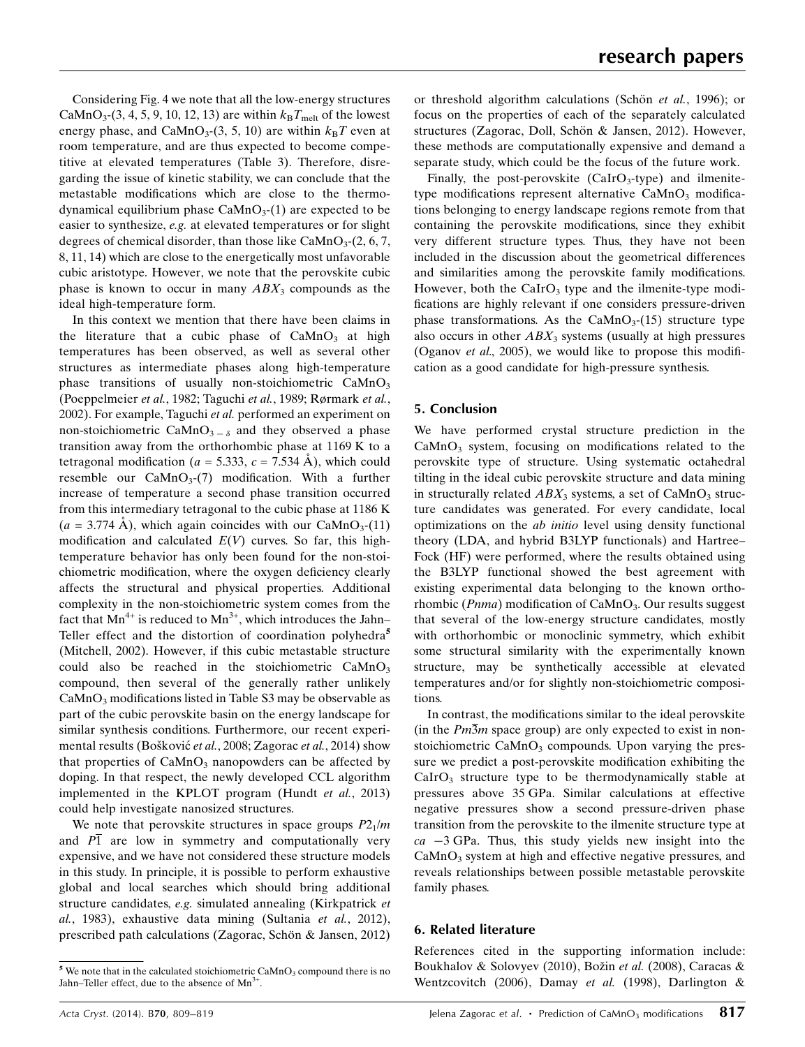Considering Fig. 4 we note that all the low-energy structures CaMnO<sub>3</sub>-(3, 4, 5, 9, 10, 12, 13) are within  $k_BT_{melt}$  of the lowest energy phase, and CaMnO<sub>3</sub>-(3, 5, 10) are within  $k_BT$  even at room temperature, and are thus expected to become competitive at elevated temperatures (Table 3). Therefore, disregarding the issue of kinetic stability, we can conclude that the metastable modifications which are close to the thermodynamical equilibrium phase  $CaMnO<sub>3</sub>(1)$  are expected to be easier to synthesize, e.g. at elevated temperatures or for slight degrees of chemical disorder, than those like  $CaMnO<sub>3</sub>(2, 6, 7, 6)$ 8, 11, 14) which are close to the energetically most unfavorable cubic aristotype. However, we note that the perovskite cubic phase is known to occur in many  $ABX_3$  compounds as the ideal high-temperature form.

In this context we mention that there have been claims in the literature that a cubic phase of  $CaMnO<sub>3</sub>$  at high temperatures has been observed, as well as several other structures as intermediate phases along high-temperature phase transitions of usually non-stoichiometric  $CaMnO<sub>3</sub>$ (Poeppelmeier et al., 1982; Taguchi et al., 1989; Rørmark et al., 2002). For example, Taguchi et al. performed an experiment on non-stoichiometric CaMnO<sub>3</sub>  $\delta$  and they observed a phase transition away from the orthorhombic phase at 1169 K to a tetragonal modification ( $a = 5.333$ ,  $c = 7.534$  Å), which could resemble our  $CaMnO<sub>3</sub>(7)$  modification. With a further increase of temperature a second phase transition occurred from this intermediary tetragonal to the cubic phase at 1186 K  $(a = 3.774 \text{ Å})$ , which again coincides with our CaMnO<sub>3</sub>-(11) modification and calculated  $E(V)$  curves. So far, this hightemperature behavior has only been found for the non-stoichiometric modification, where the oxygen deficiency clearly affects the structural and physical properties. Additional complexity in the non-stoichiometric system comes from the fact that  $Mn^{4+}$  is reduced to  $Mn^{3+}$ , which introduces the Jahn– Teller effect and the distortion of coordination polyhedra<sup>5</sup> (Mitchell, 2002). However, if this cubic metastable structure could also be reached in the stoichiometric  $CaMnO<sub>3</sub>$ compound, then several of the generally rather unlikely  $CaMnO<sub>3</sub>$  modifications listed in Table S3 may be observable as part of the cubic perovskite basin on the energy landscape for similar synthesis conditions. Furthermore, our recent experimental results (Bošković *et al.*, 2008; Zagorac *et al.*, 2014) show that properties of  $CaMnO<sub>3</sub>$  nanopowders can be affected by doping. In that respect, the newly developed CCL algorithm implemented in the KPLOT program (Hundt et al., 2013) could help investigate nanosized structures.

We note that perovskite structures in space groups  $P2_1/m$ and  $\overline{P1}$  are low in symmetry and computationally very expensive, and we have not considered these structure models in this study. In principle, it is possible to perform exhaustive global and local searches which should bring additional structure candidates, e.g. simulated annealing (Kirkpatrick et al., 1983), exhaustive data mining (Sultania et al., 2012), prescribed path calculations (Zagorac, Schön & Jansen, 2012)

or threshold algorithm calculations (Schön et al., 1996); or focus on the properties of each of the separately calculated structures (Zagorac, Doll, Schön & Jansen, 2012). However, these methods are computationally expensive and demand a separate study, which could be the focus of the future work.

Finally, the post-perovskite  $(CaIrO<sub>3</sub>-type)$  and ilmenitetype modifications represent alternative  $CaMnO<sub>3</sub>$  modifications belonging to energy landscape regions remote from that containing the perovskite modifications, since they exhibit very different structure types. Thus, they have not been included in the discussion about the geometrical differences and similarities among the perovskite family modifications. However, both the CaIrO<sub>3</sub> type and the ilmenite-type modifications are highly relevant if one considers pressure-driven phase transformations. As the  $CaMnO<sub>3</sub>(15)$  structure type also occurs in other  $ABX_3$  systems (usually at high pressures (Oganov et al., 2005), we would like to propose this modification as a good candidate for high-pressure synthesis.

## 5. Conclusion

We have performed crystal structure prediction in the  $CaMnO<sub>3</sub>$  system, focusing on modifications related to the perovskite type of structure. Using systematic octahedral tilting in the ideal cubic perovskite structure and data mining in structurally related  $ABX_3$  systems, a set of CaMnO<sub>3</sub> structure candidates was generated. For every candidate, local optimizations on the ab initio level using density functional theory (LDA, and hybrid B3LYP functionals) and Hartree– Fock (HF) were performed, where the results obtained using the B3LYP functional showed the best agreement with existing experimental data belonging to the known orthorhombic ( $Pnma$ ) modification of  $CaMnO<sub>3</sub>$ . Our results suggest that several of the low-energy structure candidates, mostly with orthorhombic or monoclinic symmetry, which exhibit some structural similarity with the experimentally known structure, may be synthetically accessible at elevated temperatures and/or for slightly non-stoichiometric compositions.

In contrast, the modifications similar to the ideal perovskite (in the  $Pm\overline{3}m$  space group) are only expected to exist in nonstoichiometric  $CaMnO<sub>3</sub>$  compounds. Upon varying the pressure we predict a post-perovskite modification exhibiting the  $CaIrO<sub>3</sub>$  structure type to be thermodynamically stable at pressures above 35 GPa. Similar calculations at effective negative pressures show a second pressure-driven phase transition from the perovskite to the ilmenite structure type at  $ca$   $-3$  GPa. Thus, this study yields new insight into the CaMnO<sub>3</sub> system at high and effective negative pressures, and reveals relationships between possible metastable perovskite family phases.

#### 6. Related literature

References cited in the supporting information include: Boukhalov & Solovyev (2010), Božin et al. (2008), Caracas & Wentzcovitch (2006), Damay et al. (1998), Darlington &

 $5$  We note that in the calculated stoichiometric CaMnO<sub>3</sub> compound there is no Jahn–Teller effect, due to the absence of  $Mn^{3+}$ .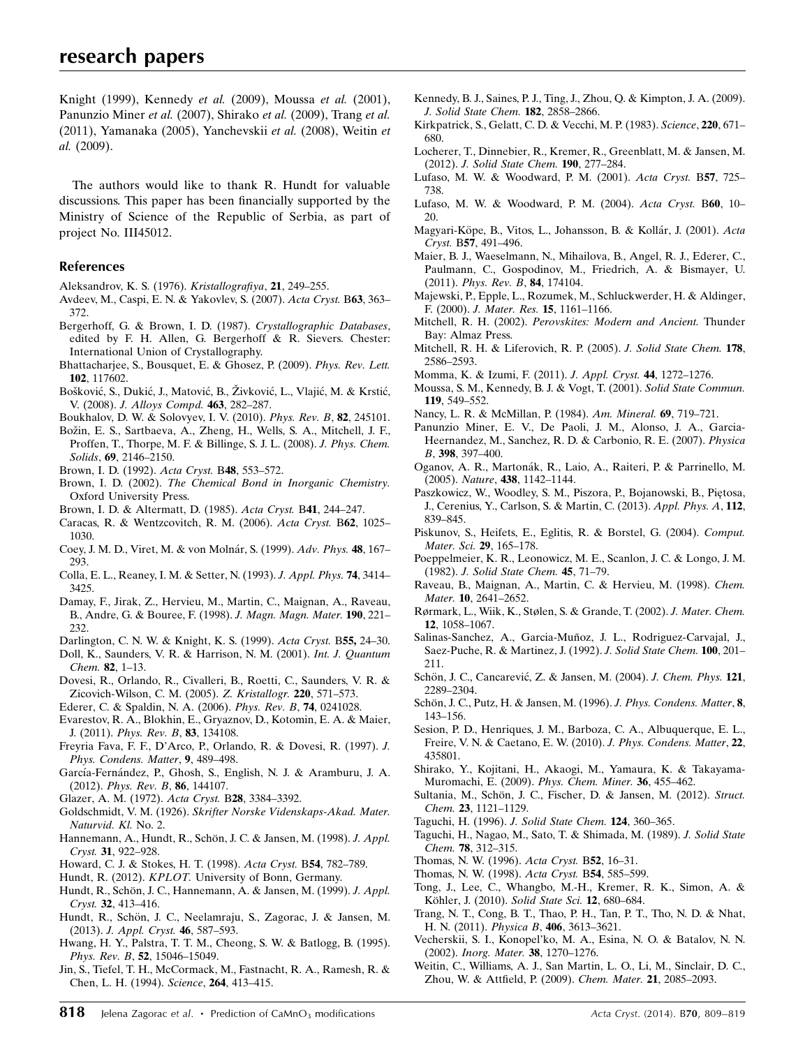Knight (1999), Kennedy et al. (2009), Moussa et al. (2001), Panunzio Miner et al. (2007), Shirako et al. (2009), Trang et al. (2011), Yamanaka (2005), Yanchevskii et al. (2008), Weitin et al. (2009).

The authors would like to thank R. Hundt for valuable discussions. This paper has been financially supported by the Ministry of Science of the Republic of Serbia, as part of project No. III45012.

## References

- [Aleksandrov, K. S. \(1976\).](http://scripts.iucr.org/cgi-bin/cr.cgi?rm=pdfbb&cnor=hw5032&bbid=BB1) Kristallografiya, 21, 249–255.
- [Avdeev, M., Caspi, E. N. & Yakovlev, S. \(2007\).](http://scripts.iucr.org/cgi-bin/cr.cgi?rm=pdfbb&cnor=hw5032&bbid=BB2) Acta Cryst. B63, 363– [372.](http://scripts.iucr.org/cgi-bin/cr.cgi?rm=pdfbb&cnor=hw5032&bbid=BB2)
- [Bergerhoff, G. & Brown, I. D. \(1987\).](http://scripts.iucr.org/cgi-bin/cr.cgi?rm=pdfbb&cnor=hw5032&bbid=BB3) Crystallographic Databases, [edited by F. H. Allen, G. Bergerhoff & R. Sievers. Chester:](http://scripts.iucr.org/cgi-bin/cr.cgi?rm=pdfbb&cnor=hw5032&bbid=BB3) [International Union of Crystallography.](http://scripts.iucr.org/cgi-bin/cr.cgi?rm=pdfbb&cnor=hw5032&bbid=BB3)
- [Bhattacharjee, S., Bousquet, E. & Ghosez, P. \(2009\).](http://scripts.iucr.org/cgi-bin/cr.cgi?rm=pdfbb&cnor=hw5032&bbid=BB4) Phys. Rev. Lett. 102[, 117602.](http://scripts.iucr.org/cgi-bin/cr.cgi?rm=pdfbb&cnor=hw5032&bbid=BB4)
- Bošković, S., Dukić, J., Matović, B., Živković, L., Vlajić, M. & Krstić, V. (2008). [J. Alloys Compd.](http://scripts.iucr.org/cgi-bin/cr.cgi?rm=pdfbb&cnor=hw5032&bbid=BB5) 463, 282–287.
- [Boukhalov, D. W. & Solovyev, I. V. \(2010\).](http://scripts.iucr.org/cgi-bin/cr.cgi?rm=pdfbb&cnor=hw5032&bbid=BB69) Phys. Rev. B, 82, 245101.
- Božin, E. S., Sartbaeva, A., Zheng, H., Wells, S. A., Mitchell, J. F., [Proffen, T., Thorpe, M. F. & Billinge, S. J. L. \(2008\).](http://scripts.iucr.org/cgi-bin/cr.cgi?rm=pdfbb&cnor=hw5032&bbid=BB6) J. Phys. Chem. Solids, 69[, 2146–2150.](http://scripts.iucr.org/cgi-bin/cr.cgi?rm=pdfbb&cnor=hw5032&bbid=BB6)
- [Brown, I. D. \(1992\).](http://scripts.iucr.org/cgi-bin/cr.cgi?rm=pdfbb&cnor=hw5032&bbid=BB7) Acta Cryst. B48, 553–572.
- Brown, I. D. (2002). [The Chemical Bond in Inorganic Chemistry.](http://scripts.iucr.org/cgi-bin/cr.cgi?rm=pdfbb&cnor=hw5032&bbid=BB8) [Oxford University Press.](http://scripts.iucr.org/cgi-bin/cr.cgi?rm=pdfbb&cnor=hw5032&bbid=BB8)
- [Brown, I. D. & Altermatt, D. \(1985\).](http://scripts.iucr.org/cgi-bin/cr.cgi?rm=pdfbb&cnor=hw5032&bbid=BB9) Acta Cryst. B41, 244–247.
- [Caracas, R. & Wentzcovitch, R. M. \(2006\).](http://scripts.iucr.org/cgi-bin/cr.cgi?rm=pdfbb&cnor=hw5032&bbid=BB10) Acta Cryst. B62, 1025– [1030.](http://scripts.iucr.org/cgi-bin/cr.cgi?rm=pdfbb&cnor=hw5032&bbid=BB10)
- Coey, J. M. D., Viret, M. & von Molnár, S. (1999). Adv. Phys. 48, 167-[293.](http://scripts.iucr.org/cgi-bin/cr.cgi?rm=pdfbb&cnor=hw5032&bbid=BB11)
- [Colla, E. L., Reaney, I. M. & Setter, N. \(1993\).](http://scripts.iucr.org/cgi-bin/cr.cgi?rm=pdfbb&cnor=hw5032&bbid=BB12) J. Appl. Phys. 74, 3414– [3425.](http://scripts.iucr.org/cgi-bin/cr.cgi?rm=pdfbb&cnor=hw5032&bbid=BB12)
- [Damay, F., Jirak, Z., Hervieu, M., Martin, C., Maignan, A., Raveau,](http://scripts.iucr.org/cgi-bin/cr.cgi?rm=pdfbb&cnor=hw5032&bbid=BB72) [B., Andre, G. & Bouree, F. \(1998\).](http://scripts.iucr.org/cgi-bin/cr.cgi?rm=pdfbb&cnor=hw5032&bbid=BB72) J. Magn. Magn. Mater. 190, 221– [232.](http://scripts.iucr.org/cgi-bin/cr.cgi?rm=pdfbb&cnor=hw5032&bbid=BB72)
- [Darlington, C. N. W. & Knight, K. S. \(1999\).](http://scripts.iucr.org/cgi-bin/cr.cgi?rm=pdfbb&cnor=hw5032&bbid=BB73) Acta Cryst. B55, 24–30.
- [Doll, K., Saunders, V. R. & Harrison, N. M. \(2001\).](http://scripts.iucr.org/cgi-bin/cr.cgi?rm=pdfbb&cnor=hw5032&bbid=BB13) Int. J. Quantum Chem. 82[, 1–13.](http://scripts.iucr.org/cgi-bin/cr.cgi?rm=pdfbb&cnor=hw5032&bbid=BB13)
- [Dovesi, R., Orlando, R., Civalleri, B., Roetti, C., Saunders, V. R. &](http://scripts.iucr.org/cgi-bin/cr.cgi?rm=pdfbb&cnor=hw5032&bbid=BB14) [Zicovich-Wilson, C. M. \(2005\).](http://scripts.iucr.org/cgi-bin/cr.cgi?rm=pdfbb&cnor=hw5032&bbid=BB14) Z. Kristallogr. 220, 571–573.
- [Ederer, C. & Spaldin, N. A. \(2006\).](http://scripts.iucr.org/cgi-bin/cr.cgi?rm=pdfbb&cnor=hw5032&bbid=BB15) Phys. Rev. B, 74, 0241028.
- [Evarestov, R. A., Blokhin, E., Gryaznov, D., Kotomin, E. A. & Maier,](http://scripts.iucr.org/cgi-bin/cr.cgi?rm=pdfbb&cnor=hw5032&bbid=BB16) J. (2011). [Phys. Rev. B](http://scripts.iucr.org/cgi-bin/cr.cgi?rm=pdfbb&cnor=hw5032&bbid=BB16), 83, 134108.
- [Freyria Fava, F. F., D'Arco, P., Orlando, R. & Dovesi, R. \(1997\).](http://scripts.iucr.org/cgi-bin/cr.cgi?rm=pdfbb&cnor=hw5032&bbid=BB17) J. [Phys. Condens. Matter](http://scripts.iucr.org/cgi-bin/cr.cgi?rm=pdfbb&cnor=hw5032&bbid=BB17), 9, 489–498.
- García-Fernández, P., Ghosh, S., English, N. J. & Aramburu, J. A. (2012). [Phys. Rev. B](http://scripts.iucr.org/cgi-bin/cr.cgi?rm=pdfbb&cnor=hw5032&bbid=BB18), 86, 144107.
- [Glazer, A. M. \(1972\).](http://scripts.iucr.org/cgi-bin/cr.cgi?rm=pdfbb&cnor=hw5032&bbid=BB19) Acta Cryst. B28, 3384–3392.
- Goldschmidt, V. M. (1926). [Skrifter Norske Videnskaps-Akad. Mater.](http://scripts.iucr.org/cgi-bin/cr.cgi?rm=pdfbb&cnor=hw5032&bbid=BB20) [Naturvid. Kl.](http://scripts.iucr.org/cgi-bin/cr.cgi?rm=pdfbb&cnor=hw5032&bbid=BB20) No. 2.
- Hannemann, A., Hundt, R., Schön, J. C. & Jansen, M. (1998). J. Appl. Cryst. 31[, 922–928.](http://scripts.iucr.org/cgi-bin/cr.cgi?rm=pdfbb&cnor=hw5032&bbid=BB21)
- [Howard, C. J. & Stokes, H. T. \(1998\).](http://scripts.iucr.org/cgi-bin/cr.cgi?rm=pdfbb&cnor=hw5032&bbid=BB22) Acta Cryst. B54, 782–789.
- Hundt, R. (2012). KPLOT. [University of Bonn, Germany.](http://scripts.iucr.org/cgi-bin/cr.cgi?rm=pdfbb&cnor=hw5032&bbid=BB23)
- Hundt, R., Schön, J. C., Hannemann, A. & Jansen, M. (1999). J. Appl. Cryst. 32[, 413–416.](http://scripts.iucr.org/cgi-bin/cr.cgi?rm=pdfbb&cnor=hw5032&bbid=BB24)
- Hundt, R., Schön, J. C., Neelamraju, S., Zagorac, J. & Jansen, M. (2013). [J. Appl. Cryst.](http://scripts.iucr.org/cgi-bin/cr.cgi?rm=pdfbb&cnor=hw5032&bbid=BB26) 46, 587–593.
- [Hwang, H. Y., Palstra, T. T. M., Cheong, S. W. & Batlogg, B. \(1995\).](http://scripts.iucr.org/cgi-bin/cr.cgi?rm=pdfbb&cnor=hw5032&bbid=BB27) Phys. Rev. B, 52, 15046-15049.
- [Jin, S., Tiefel, T. H., McCormack, M., Fastnacht, R. A., Ramesh, R. &](http://scripts.iucr.org/cgi-bin/cr.cgi?rm=pdfbb&cnor=hw5032&bbid=BB28) [Chen, L. H. \(1994\).](http://scripts.iucr.org/cgi-bin/cr.cgi?rm=pdfbb&cnor=hw5032&bbid=BB28) Science, 264, 413–415.
- [Kennedy, B. J., Saines, P. J., Ting, J., Zhou, Q. & Kimpton, J. A. \(2009\).](http://scripts.iucr.org/cgi-bin/cr.cgi?rm=pdfbb&cnor=hw5032&bbid=BB74) [J. Solid State Chem.](http://scripts.iucr.org/cgi-bin/cr.cgi?rm=pdfbb&cnor=hw5032&bbid=BB74) 182, 2858–2866.
- [Kirkpatrick, S., Gelatt, C. D. & Vecchi, M. P. \(1983\).](http://scripts.iucr.org/cgi-bin/cr.cgi?rm=pdfbb&cnor=hw5032&bbid=BB29) Science, 220, 671– [680.](http://scripts.iucr.org/cgi-bin/cr.cgi?rm=pdfbb&cnor=hw5032&bbid=BB29)
- [Locherer, T., Dinnebier, R., Kremer, R., Greenblatt, M. & Jansen, M.](http://scripts.iucr.org/cgi-bin/cr.cgi?rm=pdfbb&cnor=hw5032&bbid=BB30) (2012). [J. Solid State Chem.](http://scripts.iucr.org/cgi-bin/cr.cgi?rm=pdfbb&cnor=hw5032&bbid=BB30) 190, 277–284.
- [Lufaso, M. W. & Woodward, P. M. \(2001\).](http://scripts.iucr.org/cgi-bin/cr.cgi?rm=pdfbb&cnor=hw5032&bbid=BB31) Acta Cryst. B57, 725– [738.](http://scripts.iucr.org/cgi-bin/cr.cgi?rm=pdfbb&cnor=hw5032&bbid=BB31)
- [Lufaso, M. W. & Woodward, P. M. \(2004\).](http://scripts.iucr.org/cgi-bin/cr.cgi?rm=pdfbb&cnor=hw5032&bbid=BB32) Acta Cryst. B60, 10– [20.](http://scripts.iucr.org/cgi-bin/cr.cgi?rm=pdfbb&cnor=hw5032&bbid=BB32)
- Magyari-Köpe, B., Vitos, L., Johansson, B. & Kollár, J. (2001). Acta Cryst. B57[, 491–496.](http://scripts.iucr.org/cgi-bin/cr.cgi?rm=pdfbb&cnor=hw5032&bbid=BB33)
- [Maier, B. J., Waeselmann, N., Mihailova, B., Angel, R. J., Ederer, C.,](http://scripts.iucr.org/cgi-bin/cr.cgi?rm=pdfbb&cnor=hw5032&bbid=BB34) [Paulmann, C., Gospodinov, M., Friedrich, A. & Bismayer, U.](http://scripts.iucr.org/cgi-bin/cr.cgi?rm=pdfbb&cnor=hw5032&bbid=BB34) (2011). [Phys. Rev. B](http://scripts.iucr.org/cgi-bin/cr.cgi?rm=pdfbb&cnor=hw5032&bbid=BB34), 84, 174104.
- [Majewski, P., Epple, L., Rozumek, M., Schluckwerder, H. & Aldinger,](http://scripts.iucr.org/cgi-bin/cr.cgi?rm=pdfbb&cnor=hw5032&bbid=BB35) F. (2000). [J. Mater. Res.](http://scripts.iucr.org/cgi-bin/cr.cgi?rm=pdfbb&cnor=hw5032&bbid=BB35) 15, 1161–1166.
- Mitchell, R. H. (2002). [Perovskites: Modern and Ancient.](http://scripts.iucr.org/cgi-bin/cr.cgi?rm=pdfbb&cnor=hw5032&bbid=BB36) Thunder [Bay: Almaz Press.](http://scripts.iucr.org/cgi-bin/cr.cgi?rm=pdfbb&cnor=hw5032&bbid=BB36)
- [Mitchell, R. H. & Liferovich, R. P. \(2005\).](http://scripts.iucr.org/cgi-bin/cr.cgi?rm=pdfbb&cnor=hw5032&bbid=BB37) J. Solid State Chem. 178, [2586–2593.](http://scripts.iucr.org/cgi-bin/cr.cgi?rm=pdfbb&cnor=hw5032&bbid=BB37)
- [Momma, K. & Izumi, F. \(2011\).](http://scripts.iucr.org/cgi-bin/cr.cgi?rm=pdfbb&cnor=hw5032&bbid=BB38) J. Appl. Cryst. 44, 1272–1276.
- [Moussa, S. M., Kennedy, B. J. & Vogt, T. \(2001\).](http://scripts.iucr.org/cgi-bin/cr.cgi?rm=pdfbb&cnor=hw5032&bbid=BB75) Solid State Commun. 119[, 549–552.](http://scripts.iucr.org/cgi-bin/cr.cgi?rm=pdfbb&cnor=hw5032&bbid=BB75)
- [Nancy, L. R. & McMillan, P. \(1984\).](http://scripts.iucr.org/cgi-bin/cr.cgi?rm=pdfbb&cnor=hw5032&bbid=BB39) Am. Mineral. 69, 719–721.
- [Panunzio Miner, E. V., De Paoli, J. M., Alonso, J. A., Garcia-](http://scripts.iucr.org/cgi-bin/cr.cgi?rm=pdfbb&cnor=hw5032&bbid=BB76)[Heernandez, M., Sanchez, R. D. & Carbonio, R. E. \(2007\).](http://scripts.iucr.org/cgi-bin/cr.cgi?rm=pdfbb&cnor=hw5032&bbid=BB76) Physica B, 398[, 397–400.](http://scripts.iucr.org/cgi-bin/cr.cgi?rm=pdfbb&cnor=hw5032&bbid=BB76)
- Oganov, A. R., Martonák, R., Laio, A., Raiteri, P. & Parrinello, M. (2005). Nature, 438[, 1142–1144.](http://scripts.iucr.org/cgi-bin/cr.cgi?rm=pdfbb&cnor=hw5032&bbid=BB40)
- Paszkowicz, W., Woodley, S. M., Piszora, P., Bojanowski, B., Piętosa, [J., Cerenius, Y., Carlson, S. & Martin, C. \(2013\).](http://scripts.iucr.org/cgi-bin/cr.cgi?rm=pdfbb&cnor=hw5032&bbid=BB41) Appl. Phys. A, 112, [839–845.](http://scripts.iucr.org/cgi-bin/cr.cgi?rm=pdfbb&cnor=hw5032&bbid=BB41)
- [Piskunov, S., Heifets, E., Eglitis, R. & Borstel, G. \(2004\).](http://scripts.iucr.org/cgi-bin/cr.cgi?rm=pdfbb&cnor=hw5032&bbid=BB42) Comput. [Mater. Sci.](http://scripts.iucr.org/cgi-bin/cr.cgi?rm=pdfbb&cnor=hw5032&bbid=BB42) 29, 165–178.
- [Poeppelmeier, K. R., Leonowicz, M. E., Scanlon, J. C. & Longo, J. M.](http://scripts.iucr.org/cgi-bin/cr.cgi?rm=pdfbb&cnor=hw5032&bbid=BB43) (1982). [J. Solid State Chem.](http://scripts.iucr.org/cgi-bin/cr.cgi?rm=pdfbb&cnor=hw5032&bbid=BB43) 45, 71–79.
- [Raveau, B., Maignan, A., Martin, C. & Hervieu, M. \(1998\).](http://scripts.iucr.org/cgi-bin/cr.cgi?rm=pdfbb&cnor=hw5032&bbid=BB44) Chem. Mater. 10[, 2641–2652.](http://scripts.iucr.org/cgi-bin/cr.cgi?rm=pdfbb&cnor=hw5032&bbid=BB44)
- [Rørmark, L., Wiik, K., Stølen, S. & Grande, T. \(2002\).](http://scripts.iucr.org/cgi-bin/cr.cgi?rm=pdfbb&cnor=hw5032&bbid=BB45) J. Mater. Chem. 12[, 1058–1067.](http://scripts.iucr.org/cgi-bin/cr.cgi?rm=pdfbb&cnor=hw5032&bbid=BB45)
- Salinas-Sanchez, A., Garcia-Muñoz, J. L., Rodriguez-Carvajal, J., [Saez-Puche, R. & Martinez, J. \(1992\).](http://scripts.iucr.org/cgi-bin/cr.cgi?rm=pdfbb&cnor=hw5032&bbid=BB46) J. Solid State Chem. 100, 201– [211.](http://scripts.iucr.org/cgi-bin/cr.cgi?rm=pdfbb&cnor=hw5032&bbid=BB46)
- Schön, J. C., Cancarević, Z. & Jansen, M. (2004). J. Chem. Phys. 121, [2289–2304.](http://scripts.iucr.org/cgi-bin/cr.cgi?rm=pdfbb&cnor=hw5032&bbid=BB47)
- Schön, J. C., Putz, H. & Jansen, M. (1996). J. Phys. Condens. Matter, 8, [143–156.](http://scripts.iucr.org/cgi-bin/cr.cgi?rm=pdfbb&cnor=hw5032&bbid=BB48)
- [Sesion, P. D., Henriques, J. M., Barboza, C. A., Albuquerque, E. L.,](http://scripts.iucr.org/cgi-bin/cr.cgi?rm=pdfbb&cnor=hw5032&bbid=BB49) [Freire, V. N. & Caetano, E. W. \(2010\).](http://scripts.iucr.org/cgi-bin/cr.cgi?rm=pdfbb&cnor=hw5032&bbid=BB49) J. Phys. Condens. Matter, 22, [435801.](http://scripts.iucr.org/cgi-bin/cr.cgi?rm=pdfbb&cnor=hw5032&bbid=BB49)
- [Shirako, Y., Kojitani, H., Akaogi, M., Yamaura, K. & Takayama-](http://scripts.iucr.org/cgi-bin/cr.cgi?rm=pdfbb&cnor=hw5032&bbid=BB77)[Muromachi, E. \(2009\).](http://scripts.iucr.org/cgi-bin/cr.cgi?rm=pdfbb&cnor=hw5032&bbid=BB77) Phys. Chem. Miner. 36, 455–462.
- Sultania, M., Schön, J. C., Fischer, D. & Jansen, M. (2012). Struct. Chem. 23[, 1121–1129.](http://scripts.iucr.org/cgi-bin/cr.cgi?rm=pdfbb&cnor=hw5032&bbid=BB50)
- Taguchi, H. (1996). [J. Solid State Chem.](http://scripts.iucr.org/cgi-bin/cr.cgi?rm=pdfbb&cnor=hw5032&bbid=BB51) 124, 360–365.
- [Taguchi, H., Nagao, M., Sato, T. & Shimada, M. \(1989\).](http://scripts.iucr.org/cgi-bin/cr.cgi?rm=pdfbb&cnor=hw5032&bbid=BB52) J. Solid State Chem. 78[, 312–315.](http://scripts.iucr.org/cgi-bin/cr.cgi?rm=pdfbb&cnor=hw5032&bbid=BB52)
- [Thomas, N. W. \(1996\).](http://scripts.iucr.org/cgi-bin/cr.cgi?rm=pdfbb&cnor=hw5032&bbid=BB53) Acta Cryst. B52, 16–31.
- [Thomas, N. W. \(1998\).](http://scripts.iucr.org/cgi-bin/cr.cgi?rm=pdfbb&cnor=hw5032&bbid=BB54) Acta Cryst. B54, 585–599.
- [Tong, J., Lee, C., Whangbo, M.-H., Kremer, R. K., Simon, A. &](http://scripts.iucr.org/cgi-bin/cr.cgi?rm=pdfbb&cnor=hw5032&bbid=BB55) Köhler, J. (2010). Solid State Sci. 12, 680-684.
- [Trang, N. T., Cong, B. T., Thao, P. H., Tan, P. T., Tho, N. D. & Nhat,](http://scripts.iucr.org/cgi-bin/cr.cgi?rm=pdfbb&cnor=hw5032&bbid=BB56) [H. N. \(2011\).](http://scripts.iucr.org/cgi-bin/cr.cgi?rm=pdfbb&cnor=hw5032&bbid=BB56) Physica B, 406, 3613–3621.
- [Vecherskii, S. I., Konopel'ko, M. A., Esina, N. O. & Batalov, N. N.](http://scripts.iucr.org/cgi-bin/cr.cgi?rm=pdfbb&cnor=hw5032&bbid=BB57) (2002). [Inorg. Mater.](http://scripts.iucr.org/cgi-bin/cr.cgi?rm=pdfbb&cnor=hw5032&bbid=BB57) 38, 1270–1276.
- [Weitin, C., Williams, A. J., San Martin, L. O., Li, M., Sinclair, D. C.,](http://scripts.iucr.org/cgi-bin/cr.cgi?rm=pdfbb&cnor=hw5032&bbid=BB81) [Zhou, W. & Attfield, P. \(2009\).](http://scripts.iucr.org/cgi-bin/cr.cgi?rm=pdfbb&cnor=hw5032&bbid=BB81) Chem. Mater. 21, 2085–2093.